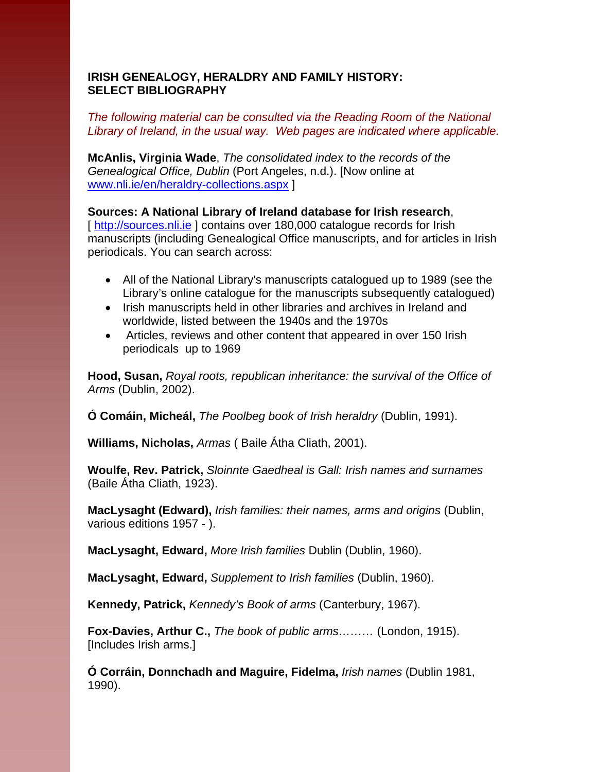## **IRISH GENEALOGY, HERALDRY AND FAMILY HISTORY: SELECT BIBLIOGRAPHY**

## *The following material can be consulted via the Reading Room of the National Library of Ireland, in the usual way. Web pages are indicated where applicable.*

**McAnlis, Virginia Wade**, *The consolidated index to the records of the Genealogical Office, Dublin* (Port Angeles, n.d.). [Now online at [www.nli.ie/en/heraldry-collections.aspx](http://www.nli.ie/en/heraldry-collections.aspx) ]

**Sources: A National Library of Ireland database for Irish research**, [http://sources.nli.ie] contains over 180,000 catalogue records for Irish manuscripts (including Genealogical Office manuscripts, and for articles in Irish periodicals. You can search across:

- All of the National Library's manuscripts catalogued up to 1989 (see the Library's online catalogue for the manuscripts subsequently catalogued)
- Irish manuscripts held in other libraries and archives in Ireland and worldwide, listed between the 1940s and the 1970s
- Articles, reviews and other content that appeared in over 150 Irish periodicals up to 1969

**Hood, Susan,** *Royal roots, republican inheritance: the survival of the Office of Arms* (Dublin, 2002).

**Ó Comáin, Micheál,** *The Poolbeg book of Irish heraldry* (Dublin, 1991).

**Williams, Nicholas,** *Armas* ( Baile Átha Cliath, 2001).

**Woulfe, Rev. Patrick,** *Sloinnte Gaedheal is Gall: Irish names and surnames*  (Baile Átha Cliath, 1923).

**MacLysaght (Edward),** *Irish families: their names, arms and origins* (Dublin, various editions 1957 - ).

**MacLysaght, Edward,** *More Irish families* Dublin (Dublin, 1960).

**MacLysaght, Edward,** *Supplement to Irish families* (Dublin, 1960).

**Kennedy, Patrick,** *Kennedy's Book of arms* (Canterbury, 1967).

**Fox-Davies, Arthur C.,** *The book of public arms………* (London, 1915). [Includes Irish arms.]

**Ó Corráin, Donnchadh and Maguire, Fidelma,** *Irish names* (Dublin 1981, 1990).